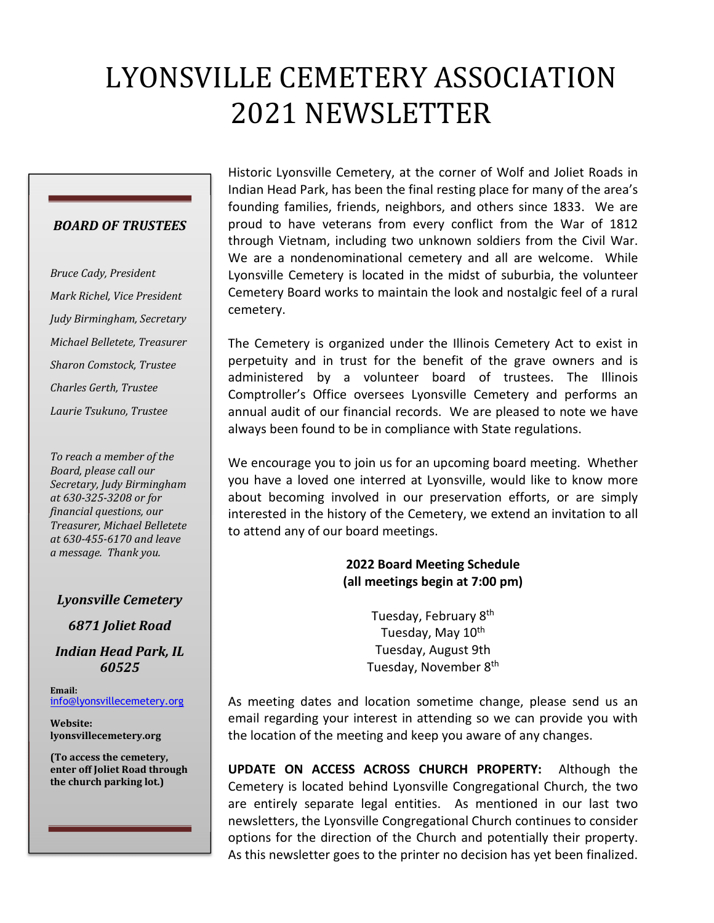# LYONSVILLE CEMETERY ASSOCIATION 2021 NEWSLETTER

#### *BOARD OF TRUSTEES*

*Bruce Cady, President Mark Richel, Vice President Judy Birmingham, Secretary Michael Belletete, Treasurer Sharon Comstock, Trustee Charles Gerth, Trustee Laurie Tsukuno, Trustee* 

*To reach a member of the Board, please call our Secretary, Judy Birmingham at 630-325-3208 or for financial questions, our Treasurer, Michael Belletete at 630-455-6170 and leave a message. Thank you.* 

## *Lyonsville Cemetery*

*6871 Joliet Road* 

*Indian Head Park, IL 60525* 

**Email:**  info@lyonsvillecemetery.org

**Website: lyonsvillecemetery.org** 

**(To access the cemetery, enter off Joliet Road through the church parking lot.)** 

Historic Lyonsville Cemetery, at the corner of Wolf and Joliet Roads in Indian Head Park, has been the final resting place for many of the area's founding families, friends, neighbors, and others since 1833. We are proud to have veterans from every conflict from the War of 1812 through Vietnam, including two unknown soldiers from the Civil War. We are a nondenominational cemetery and all are welcome. While Lyonsville Cemetery is located in the midst of suburbia, the volunteer Cemetery Board works to maintain the look and nostalgic feel of a rural cemetery.

The Cemetery is organized under the Illinois Cemetery Act to exist in perpetuity and in trust for the benefit of the grave owners and is administered by a volunteer board of trustees. The Illinois Comptroller's Office oversees Lyonsville Cemetery and performs an annual audit of our financial records. We are pleased to note we have always been found to be in compliance with State regulations.

We encourage you to join us for an upcoming board meeting. Whether you have a loved one interred at Lyonsville, would like to know more about becoming involved in our preservation efforts, or are simply interested in the history of the Cemetery, we extend an invitation to all to attend any of our board meetings.

# **2022 Board Meeting Schedule (all meetings begin at 7:00 pm)**

Tuesday, February 8th Tuesday, May 10<sup>th</sup> Tuesday, August 9th Tuesday, November 8<sup>th</sup>

As meeting dates and location sometime change, please send us an email regarding your interest in attending so we can provide you with the location of the meeting and keep you aware of any changes.

**UPDATE ON ACCESS ACROSS CHURCH PROPERTY:** Although the Cemetery is located behind Lyonsville Congregational Church, the two are entirely separate legal entities. As mentioned in our last two newsletters, the Lyonsville Congregational Church continues to consider options for the direction of the Church and potentially their property. As this newsletter goes to the printer no decision has yet been finalized.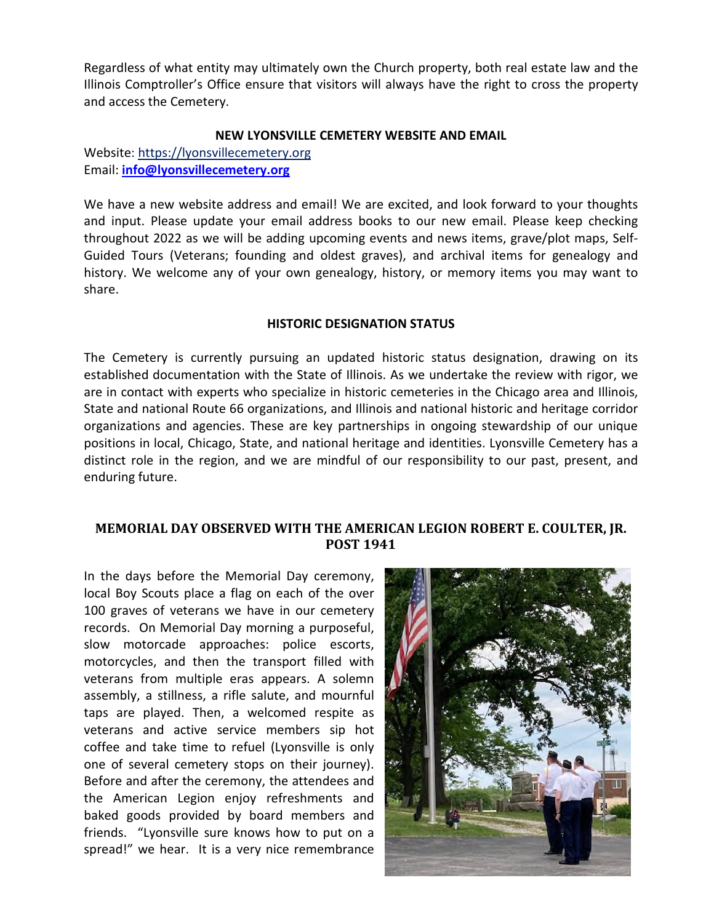Regardless of what entity may ultimately own the Church property, both real estate law and the Illinois Comptroller's Office ensure that visitors will always have the right to cross the property and access the Cemetery.

#### **NEW LYONSVILLE CEMETERY WEBSITE AND EMAIL**

Website: https://lyonsvillecemetery.org Email: **info@lyonsvillecemetery.org**

We have a new website address and email! We are excited, and look forward to your thoughts and input. Please update your email address books to our new email. Please keep checking throughout 2022 as we will be adding upcoming events and news items, grave/plot maps, Self-Guided Tours (Veterans; founding and oldest graves), and archival items for genealogy and history. We welcome any of your own genealogy, history, or memory items you may want to share.

## **HISTORIC DESIGNATION STATUS**

The Cemetery is currently pursuing an updated historic status designation, drawing on its established documentation with the State of Illinois. As we undertake the review with rigor, we are in contact with experts who specialize in historic cemeteries in the Chicago area and Illinois, State and national Route 66 organizations, and Illinois and national historic and heritage corridor organizations and agencies. These are key partnerships in ongoing stewardship of our unique positions in local, Chicago, State, and national heritage and identities. Lyonsville Cemetery has a distinct role in the region, and we are mindful of our responsibility to our past, present, and enduring future.

# **MEMORIAL DAY OBSERVED WITH THE AMERICAN LEGION ROBERT E. COULTER, JR. POST 1941**

In the days before the Memorial Day ceremony, local Boy Scouts place a flag on each of the over 100 graves of veterans we have in our cemetery records. On Memorial Day morning a purposeful, slow motorcade approaches: police escorts, motorcycles, and then the transport filled with veterans from multiple eras appears. A solemn assembly, a stillness, a rifle salute, and mournful taps are played. Then, a welcomed respite as veterans and active service members sip hot coffee and take time to refuel (Lyonsville is only one of several cemetery stops on their journey). Before and after the ceremony, the attendees and the American Legion enjoy refreshments and baked goods provided by board members and friends. "Lyonsville sure knows how to put on a spread!" we hear. It is a very nice remembrance

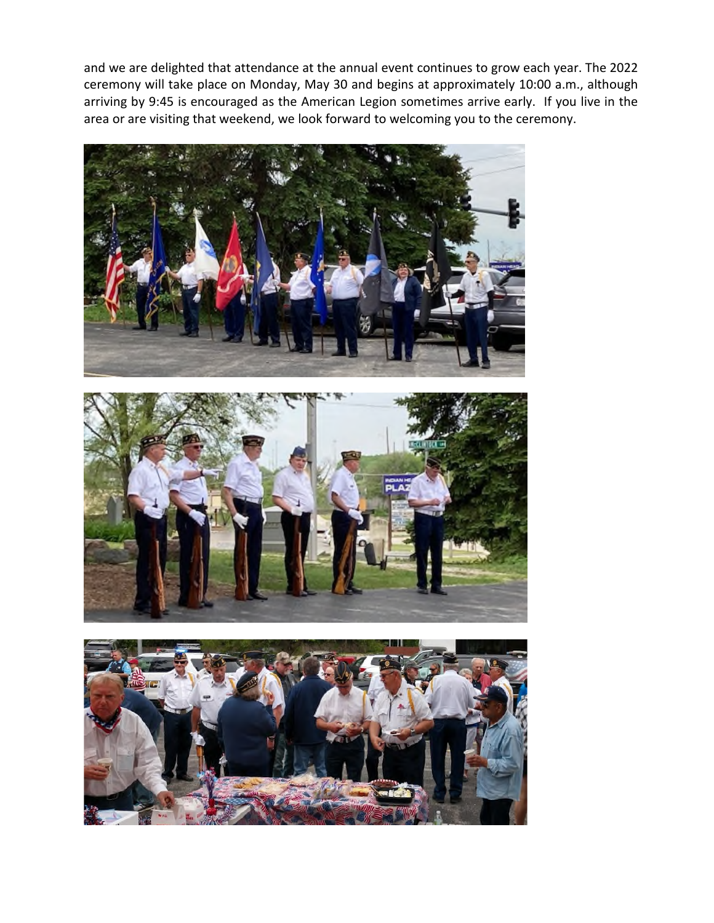and we are delighted that attendance at the annual event continues to grow each year. The 2022 ceremony will take place on Monday, May 30 and begins at approximately 10:00 a.m., although arriving by 9:45 is encouraged as the American Legion sometimes arrive early. If you live in the area or are visiting that weekend, we look forward to welcoming you to the ceremony.





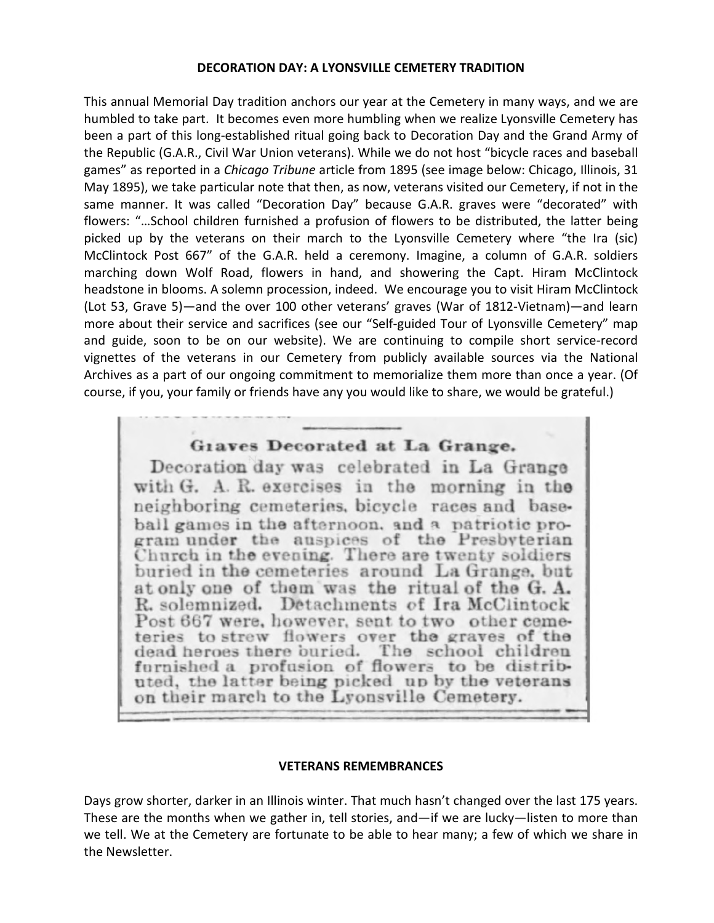#### **DECORATION DAY: A LYONSVILLE CEMETERY TRADITION**

This annual Memorial Day tradition anchors our year at the Cemetery in many ways, and we are humbled to take part. It becomes even more humbling when we realize Lyonsville Cemetery has been a part of this long-established ritual going back to Decoration Day and the Grand Army of the Republic (G.A.R., Civil War Union veterans). While we do not host "bicycle races and baseball games" as reported in a *Chicago Tribune* article from 1895 (see image below: Chicago, Illinois, 31 May 1895), we take particular note that then, as now, veterans visited our Cemetery, if not in the same manner. It was called "Decoration Day" because G.A.R. graves were "decorated" with flowers: "…School children furnished a profusion of flowers to be distributed, the latter being picked up by the veterans on their march to the Lyonsville Cemetery where "the Ira (sic) McClintock Post 667" of the G.A.R. held a ceremony. Imagine, a column of G.A.R. soldiers marching down Wolf Road, flowers in hand, and showering the Capt. Hiram McClintock headstone in blooms. A solemn procession, indeed. We encourage you to visit Hiram McClintock (Lot 53, Grave 5)—and the over 100 other veterans' graves (War of 1812-Vietnam)—and learn more about their service and sacrifices (see our "Self-guided Tour of Lyonsville Cemetery" map and guide, soon to be on our website). We are continuing to compile short service-record vignettes of the veterans in our Cemetery from publicly available sources via the National Archives as a part of our ongoing commitment to memorialize them more than once a year. (Of course, if you, your family or friends have any you would like to share, we would be grateful.)

# Giaves Decorated at La Grange.

Decoration day was celebrated in La Grange with G. A. R. exercises in the morning in the neighboring cemeteries, bicycle races and baseball games in the afternoon, and a patriotic program under the auspices of the Presbyterian Church in the evening. There are twenty soldiers buried in the cemeteries around La Grange, but at only one of them was the ritual of the G.A. R. solemnized. Detachments of Ira McClintock Post 667 were, however, sent to two other cemeteries to strew flowers over the graves of the dead heroes there buried. The school children furnished a profusion of flowers to be distributed, the latter being picked up by the veterans on their march to the Lyonsville Cemetery.

#### **VETERANS REMEMBRANCES**

Days grow shorter, darker in an Illinois winter. That much hasn't changed over the last 175 years. These are the months when we gather in, tell stories, and—if we are lucky—listen to more than we tell. We at the Cemetery are fortunate to be able to hear many; a few of which we share in the Newsletter.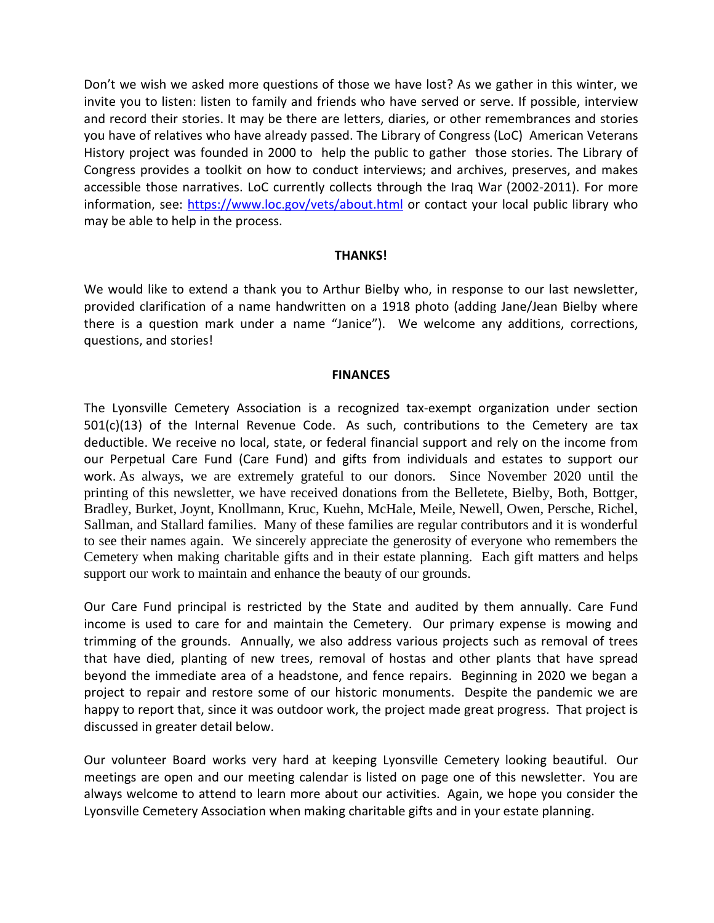Don't we wish we asked more questions of those we have lost? As we gather in this winter, we invite you to listen: listen to family and friends who have served or serve. If possible, interview and record their stories. It may be there are letters, diaries, or other remembrances and stories you have of relatives who have already passed. The Library of Congress (LoC) American Veterans History project was founded in 2000 to help the public to gather those stories. The Library of Congress provides a toolkit on how to conduct interviews; and archives, preserves, and makes accessible those narratives. LoC currently collects through the Iraq War (2002-2011). For more information, see: https://www.loc.gov/vets/about.html or contact your local public library who may be able to help in the process.

#### **THANKS!**

We would like to extend a thank you to Arthur Bielby who, in response to our last newsletter, provided clarification of a name handwritten on a 1918 photo (adding Jane/Jean Bielby where there is a question mark under a name "Janice"). We welcome any additions, corrections, questions, and stories!

#### **FINANCES**

The Lyonsville Cemetery Association is a recognized tax-exempt organization under section  $501(c)(13)$  of the Internal Revenue Code. As such, contributions to the Cemetery are tax deductible. We receive no local, state, or federal financial support and rely on the income from our Perpetual Care Fund (Care Fund) and gifts from individuals and estates to support our work. As always, we are extremely grateful to our donors. Since November 2020 until the printing of this newsletter, we have received donations from the Belletete, Bielby, Both, Bottger, Bradley, Burket, Joynt, Knollmann, Kruc, Kuehn, McHale, Meile, Newell, Owen, Persche, Richel, Sallman, and Stallard families. Many of these families are regular contributors and it is wonderful to see their names again. We sincerely appreciate the generosity of everyone who remembers the Cemetery when making charitable gifts and in their estate planning. Each gift matters and helps support our work to maintain and enhance the beauty of our grounds.

Our Care Fund principal is restricted by the State and audited by them annually. Care Fund income is used to care for and maintain the Cemetery. Our primary expense is mowing and trimming of the grounds. Annually, we also address various projects such as removal of trees that have died, planting of new trees, removal of hostas and other plants that have spread beyond the immediate area of a headstone, and fence repairs. Beginning in 2020 we began a project to repair and restore some of our historic monuments. Despite the pandemic we are happy to report that, since it was outdoor work, the project made great progress. That project is discussed in greater detail below.

Our volunteer Board works very hard at keeping Lyonsville Cemetery looking beautiful. Our meetings are open and our meeting calendar is listed on page one of this newsletter. You are always welcome to attend to learn more about our activities. Again, we hope you consider the Lyonsville Cemetery Association when making charitable gifts and in your estate planning.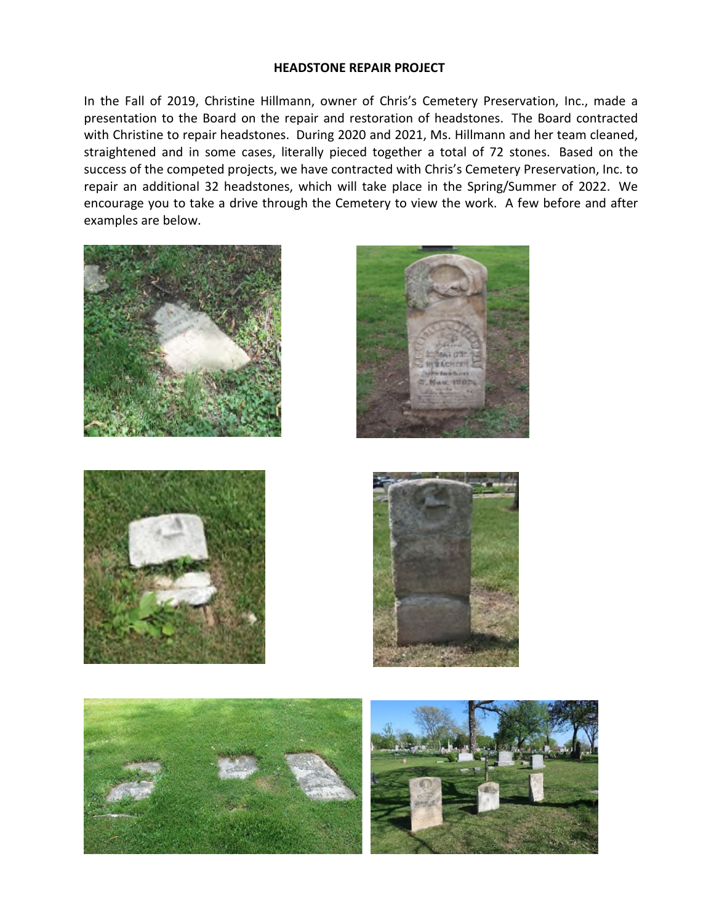#### **HEADSTONE REPAIR PROJECT**

In the Fall of 2019, Christine Hillmann, owner of Chris's Cemetery Preservation, Inc., made a presentation to the Board on the repair and restoration of headstones. The Board contracted with Christine to repair headstones. During 2020 and 2021, Ms. Hillmann and her team cleaned, straightened and in some cases, literally pieced together a total of 72 stones. Based on the success of the competed projects, we have contracted with Chris's Cemetery Preservation, Inc. to repair an additional 32 headstones, which will take place in the Spring/Summer of 2022. We encourage you to take a drive through the Cemetery to view the work. A few before and after examples are below.











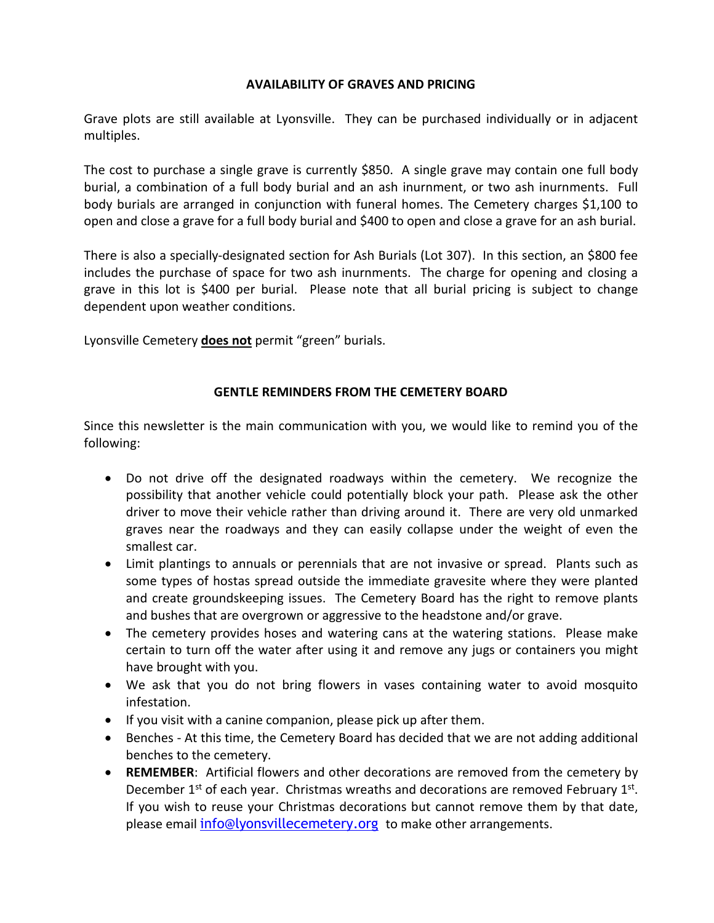#### **AVAILABILITY OF GRAVES AND PRICING**

Grave plots are still available at Lyonsville. They can be purchased individually or in adjacent multiples.

The cost to purchase a single grave is currently \$850. A single grave may contain one full body burial, a combination of a full body burial and an ash inurnment, or two ash inurnments. Full body burials are arranged in conjunction with funeral homes. The Cemetery charges \$1,100 to open and close a grave for a full body burial and \$400 to open and close a grave for an ash burial.

There is also a specially-designated section for Ash Burials (Lot 307). In this section, an \$800 fee includes the purchase of space for two ash inurnments. The charge for opening and closing a grave in this lot is \$400 per burial. Please note that all burial pricing is subject to change dependent upon weather conditions.

Lyonsville Cemetery **does not** permit "green" burials.

## **GENTLE REMINDERS FROM THE CEMETERY BOARD**

Since this newsletter is the main communication with you, we would like to remind you of the following:

- Do not drive off the designated roadways within the cemetery. We recognize the possibility that another vehicle could potentially block your path. Please ask the other driver to move their vehicle rather than driving around it. There are very old unmarked graves near the roadways and they can easily collapse under the weight of even the smallest car.
- Limit plantings to annuals or perennials that are not invasive or spread. Plants such as some types of hostas spread outside the immediate gravesite where they were planted and create groundskeeping issues. The Cemetery Board has the right to remove plants and bushes that are overgrown or aggressive to the headstone and/or grave.
- The cemetery provides hoses and watering cans at the watering stations. Please make certain to turn off the water after using it and remove any jugs or containers you might have brought with you.
- We ask that you do not bring flowers in vases containing water to avoid mosquito infestation.
- If you visit with a canine companion, please pick up after them.
- Benches At this time, the Cemetery Board has decided that we are not adding additional benches to the cemetery.
- **REMEMBER**: Artificial flowers and other decorations are removed from the cemetery by December  $1^{st}$  of each year. Christmas wreaths and decorations are removed February  $1^{st}$ . If you wish to reuse your Christmas decorations but cannot remove them by that date, please email info@lyonsvillecemetery.org to make other arrangements.